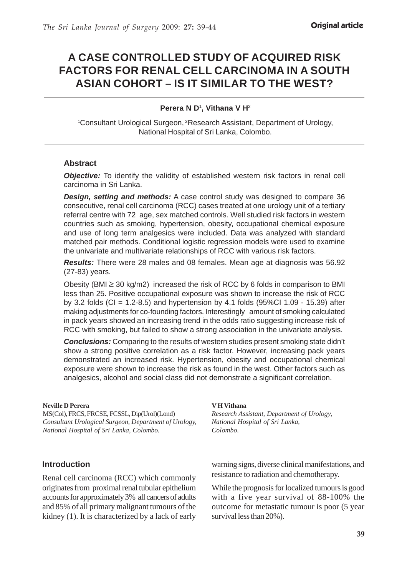# **A CASE CONTROLLED STUDY OF ACQUIRED RISK FACTORS FOR RENAL CELL CARCINOMA IN A SOUTH ASIAN COHORT – IS IT SIMILAR TO THE WEST?**

#### **Perera N D**<sup>1</sup> **, Vithana V H**<sup>2</sup>

1 Consultant Urological Surgeon, 2Research Assistant, Department of Urology, National Hospital of Sri Lanka, Colombo.

#### **Abstract**

**Objective:** To identify the validity of established western risk factors in renal cell carcinoma in Sri Lanka.

*Design, setting and methods:* A case control study was designed to compare 36 consecutive, renal cell carcinoma (RCC) cases treated at one urology unit of a tertiary referral centre with 72 age, sex matched controls. Well studied risk factors in western countries such as smoking, hypertension, obesity, occupational chemical exposure and use of long term analgesics were included. Data was analyzed with standard matched pair methods. Conditional logistic regression models were used to examine the univariate and multivariate relationships of RCC with various risk factors.

*Results:* There were 28 males and 08 females. Mean age at diagnosis was 56.92 (27-83) years.

Obesity (BMI  $\geq$  30 kg/m2) increased the risk of RCC by 6 folds in comparison to BMI less than 25. Positive occupational exposure was shown to increase the risk of RCC by 3.2 folds (CI = 1.2-8.5) and hypertension by 4.1 folds (95%CI 1.09 - 15.39) after making adjustments for co-founding factors. Interestingly amount of smoking calculated in pack years showed an increasing trend in the odds ratio suggesting increase risk of RCC with smoking, but failed to show a strong association in the univariate analysis.

*Conclusions:* Comparing to the results of western studies present smoking state didn't show a strong positive correlation as a risk factor. However, increasing pack years demonstrated an increased risk. Hypertension, obesity and occupational chemical exposure were shown to increase the risk as found in the west. Other factors such as analgesics, alcohol and social class did not demonstrate a significant correlation.

#### **Neville D Perera**

MS(Col), FRCS, FRCSE, FCSSL, Dip(Urol)(Lond) *Consultant Urological Surgeon, Department of Urology, National Hospital of Sri Lanka, Colombo.*

### **Introduction**

Renal cell carcinoma (RCC) which commonly originates from proximal renal tubular epithelium accounts for approximately 3% all cancers of adults and 85% of all primary malignant tumours of the kidney (1). It is characterized by a lack of early

#### **V H Vithana**

*Research Assistant, Department of Urology, National Hospital of Sri Lanka, Colombo.*

warning signs, diverse clinical manifestations, and resistance to radiation and chemotherapy.

While the prognosis for localized tumours is good with a five year survival of 88-100% the outcome for metastatic tumour is poor (5 year survival less than 20%).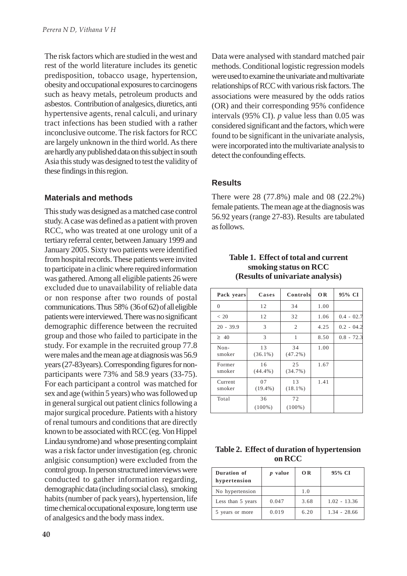The risk factors which are studied in the west and rest of the world literature includes its genetic predisposition, tobacco usage, hypertension, obesity and occupational exposures to carcinogens such as heavy metals, petroleum products and asbestos. Contribution of analgesics, diuretics, anti hypertensive agents, renal calculi, and urinary tract infections has been studied with a rather inconclusive outcome. The risk factors for RCC are largely unknown in the third world. As there are hardly any published data on this subject in south Asia this study was designed to test the validity of these findings in this region.

### **Materials and methods**

This study was designed as a matched case control study. A case was defined as a patient with proven RCC, who was treated at one urology unit of a tertiary referral center, between January 1999 and January 2005. Sixty two patients were identified from hospital records. These patients were invited to participate in a clinic where required information was gathered. Among all eligible patients 26 were excluded due to unavailability of reliable data or non response after two rounds of postal communications. Thus 58% (36 of 62) of all eligible patients were interviewed. There was no significant demographic difference between the recruited group and those who failed to participate in the study. For example in the recruited group 77.8 were males and the mean age at diagnosis was 56.9 years (27-83years). Corresponding figures for nonparticipants were 73% and 58.9 years (33-75). For each participant a control was matched for sex and age (within 5 years) who was followed up in general surgical out patient clinics following a major surgical procedure. Patients with a history of renal tumours and conditions that are directly known to be associated with RCC (eg. Von Hippel Lindau syndrome) and whose presenting complaint was a risk factor under investigation (eg. chronic anlgisic consumption) were excluded from the control group. In person structured interviews were conducted to gather information regarding, demographic data (including social class), smoking habits (number of pack years), hypertension, life time chemical occupational exposure, long term use of analgesics and the body mass index.

Data were analysed with standard matched pair methods. Conditional logistic regression models were used to examine the univariate and multivariate relationships of RCC with various risk factors. The associations were measured by the odds ratios (OR) and their corresponding 95% confidence intervals (95% CI). *p* value less than 0.05 was considered significant and the factors, which were found to be significant in the univariate analysis, were incorporated into the multivariate analysis to detect the confounding effects.

### **Results**

There were 28 (77.8%) male and 08 (22.2%) female patients. The mean age at the diagnosis was 56.92 years (range 27-83). Results are tabulated as follows.

| Pack years        | Cases            | Controls         | <b>OR</b> | 95% CI       |
|-------------------|------------------|------------------|-----------|--------------|
| $\Omega$          | 12               | 34               | 1.00      |              |
| < 20              | 12               | 32               | 1.06      | $0.4 - 02.7$ |
| $20 - 39.9$       | 3                | 2                | 4.25      | $0.2 - 04.2$ |
| $\geq 40$         | 3                | 1                | 8.50      | $0.8 - 72.3$ |
| $Non-$<br>smoker  | 13<br>$(36.1\%)$ | 34<br>$(47.2\%)$ | 1.00      |              |
| Former<br>smoker  | 16<br>$(44.4\%)$ | 25<br>(34.7%)    | 1.67      |              |
| Current<br>smoker | 07<br>$(19.4\%)$ | 13<br>$(18.1\%)$ | 1.41      |              |
| Total             | 36<br>$(100\%)$  | 72<br>$(100\%)$  |           |              |

#### **Table 1. Effect of total and current smoking status on RCC (Results of univariate analysis)**

| Table 2. Effect of duration of hypertension |
|---------------------------------------------|
| on RCC                                      |

| Duration of<br>hypertension | <i>v</i> value | 0 <sub>R</sub> | 95% CI         |
|-----------------------------|----------------|----------------|----------------|
| No hypertension             |                | 1.0            |                |
| Less than 5 years           | 0.047          | 3.68           | $1.02 - 13.36$ |
| 5 years or more             | 0.019          | 6.20           | $1.34 - 28.66$ |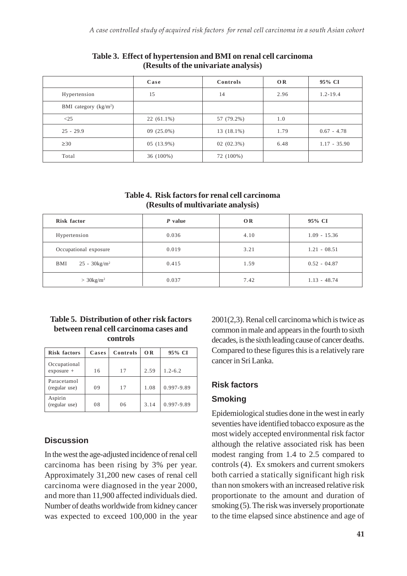|                        | Case         | Controls     | OR   | 95% CI         |
|------------------------|--------------|--------------|------|----------------|
| Hypertension           | 15           | 14           | 2.96 | $1.2 - 19.4$   |
| BMI category $(kg/m2)$ |              |              |      |                |
| <25                    | $22(61.1\%)$ | 57 (79.2%)   | 1.0  |                |
| $25 - 29.9$            | $09(25.0\%)$ | 13 (18.1%)   | 1.79 | $0.67 - 4.78$  |
| $\geq 30$              | 05 (13.9%)   | $02(02.3\%)$ | 6.48 | $1.17 - 35.90$ |
| Total                  | $36(100\%)$  | 72 (100%)    |      |                |

#### **Table 3. Effect of hypertension and BMI on renal cell carcinoma (Results of the univariate analysis)**

**Table 4. Risk factors for renal cell carcinoma (Results of multivariate analysis)**

| Risk factor                        | P value | <b>OR</b> | 95% CI         |
|------------------------------------|---------|-----------|----------------|
| Hypertension                       | 0.036   | 4.10      | $1.09 - 15.36$ |
| Occupational exposure              | 0.019   | 3.21      | $1.21 - 08.51$ |
| $25 - 30$ kg/m <sup>2</sup><br>BMI | 0.415   | 1.59      | $0.52 - 04.87$ |
| $>$ 30kg/m <sup>2</sup>            | 0.037   | 7.42      | $1.13 - 48.74$ |

### **Table 5. Distribution of other risk factors between renal cell carcinoma cases and controls**

| <b>Risk factors</b>          | Cases | Controls | OR   | 95% CI      |
|------------------------------|-------|----------|------|-------------|
| Occupational<br>$exposure +$ | 16    | 17       | 2.59 | $1.2 - 6.2$ |
| Paracetamol<br>(regular use) | 09    | 17       | 1.08 | 0.997-9.89  |
| Aspirin<br>(regular use)     | 08    | 06       | 3.14 | 0.997-9.89  |

# **Discussion**

In the west the age-adjusted incidence of renal cell carcinoma has been rising by 3% per year. Approximately 31,200 new cases of renal cell carcinoma were diagnosed in the year 2000, and more than 11,900 affected individuals died. Number of deaths worldwide from kidney cancer was expected to exceed 100,000 in the year 2001(2,3). Renal cell carcinoma which is twice as common in male and appears in the fourth to sixth decades, is the sixth leading cause of cancer deaths. Compared to these figures this is a relatively rare cancer in Sri Lanka.

# **Risk factors**

# **Smoking**

Epidemiological studies done in the west in early seventies have identified tobacco exposure as the most widely accepted environmental risk factor although the relative associated risk has been modest ranging from 1.4 to 2.5 compared to controls (4). Ex smokers and current smokers both carried a statically significant high risk than non smokers with an increased relative risk proportionate to the amount and duration of smoking (5). The risk was inversely proportionate to the time elapsed since abstinence and age of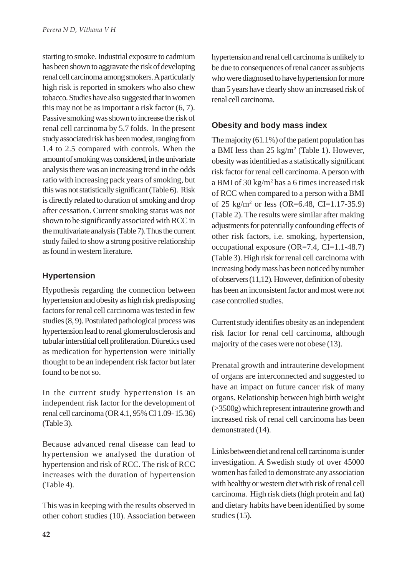starting to smoke. Industrial exposure to cadmium has been shown to aggravate the risk of developing renal cell carcinoma among smokers. A particularly high risk is reported in smokers who also chew tobacco. Studies have also suggested that in women this may not be as important a risk factor (6, 7). Passive smoking was shown to increase the risk of renal cell carcinoma by 5.7 folds. In the present study associated risk has been modest, ranging from 1.4 to 2.5 compared with controls. When the amount of smoking was considered, in the univariate analysis there was an increasing trend in the odds ratio with increasing pack years of smoking, but this was not statistically significant (Table 6). Risk is directly related to duration of smoking and drop after cessation. Current smoking status was not shown to be significantly associated with RCC in the multivariate analysis (Table 7). Thus the current study failed to show a strong positive relationship as found in western literature.

# **Hypertension**

Hypothesis regarding the connection between hypertension and obesity as high risk predisposing factors for renal cell carcinoma was tested in few studies (8, 9). Postulated pathological process was hypertension lead to renal glomerulosclerosis and tubular interstitial cell proliferation. Diuretics used as medication for hypertension were initially thought to be an independent risk factor but later found to be not so.

In the current study hypertension is an independent risk factor for the development of renal cell carcinoma (OR 4.1, 95% CI 1.09- 15.36) (Table 3).

Because advanced renal disease can lead to hypertension we analysed the duration of hypertension and risk of RCC. The risk of RCC increases with the duration of hypertension (Table 4).

This was in keeping with the results observed in other cohort studies (10). Association between hypertension and renal cell carcinoma is unlikely to be due to consequences of renal cancer as subjects who were diagnosed to have hypertension for more than 5 years have clearly show an increased risk of renal cell carcinoma.

# **Obesity and body mass index**

The majority (61.1%) of the patient population has a BMI less than  $25 \text{ kg/m}^2$  (Table 1). However, obesity was identified as a statistically significant risk factor for renal cell carcinoma. A person with a BMI of 30 kg/m<sup>2</sup> has a 6 times increased risk of RCC when compared to a person with a BMI of 25 kg/m2 or less (OR=6.48, CI=1.17-35.9) (Table 2). The results were similar after making adjustments for potentially confounding effects of other risk factors, i.e. smoking, hypertension, occupational exposure (OR=7.4, CI=1.1-48.7) (Table 3). High risk for renal cell carcinoma with increasing body mass has been noticed by number of observers (11,12). However, definition of obesity has been an inconsistent factor and most were not case controlled studies.

Current study identifies obesity as an independent risk factor for renal cell carcinoma, although majority of the cases were not obese (13).

Prenatal growth and intrauterine development of organs are interconnected and suggested to have an impact on future cancer risk of many organs. Relationship between high birth weight (>3500g) which represent intrauterine growth and increased risk of renal cell carcinoma has been demonstrated (14).

Links between diet and renal cell carcinoma is under investigation. A Swedish study of over 45000 women has failed to demonstrate any association with healthy or western diet with risk of renal cell carcinoma. High risk diets (high protein and fat) and dietary habits have been identified by some studies (15).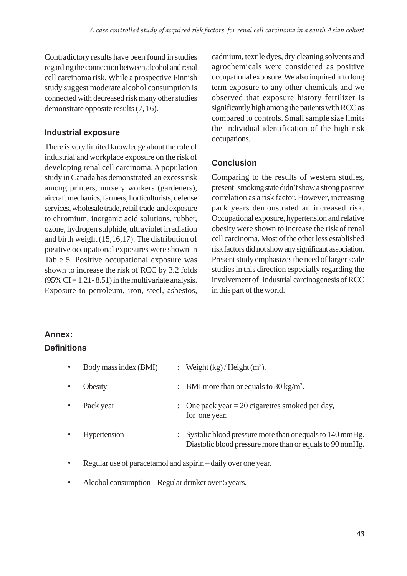Contradictory results have been found in studies regarding the connection between alcohol and renal cell carcinoma risk. While a prospective Finnish study suggest moderate alcohol consumption is connected with decreased risk many other studies demonstrate opposite results (7, 16).

### **Industrial exposure**

There is very limited knowledge about the role of industrial and workplace exposure on the risk of developing renal cell carcinoma. A population study in Canada has demonstrated an excess risk among printers, nursery workers (gardeners), aircraft mechanics, farmers, horticulturists, defense services, wholesale trade, retail trade and exposure to chromium, inorganic acid solutions, rubber, ozone, hydrogen sulphide, ultraviolet irradiation and birth weight (15,16,17). The distribution of positive occupational exposures were shown in Table 5. Positive occupational exposure was shown to increase the risk of RCC by 3.2 folds  $(95\% \text{ CI} = 1.21 - 8.51)$  in the multivariate analysis. Exposure to petroleum, iron, steel, asbestos, cadmium, textile dyes, dry cleaning solvents and agrochemicals were considered as positive occupational exposure. We also inquired into long term exposure to any other chemicals and we observed that exposure history fertilizer is significantly high among the patients with RCC as compared to controls. Small sample size limits the individual identification of the high risk occupations.

# **Conclusion**

Comparing to the results of western studies, present smoking state didn't show a strong positive correlation as a risk factor. However, increasing pack years demonstrated an increased risk. Occupational exposure, hypertension and relative obesity were shown to increase the risk of renal cell carcinoma. Most of the other less established risk factors did not show any significant association. Present study emphasizes the need of larger scale studies in this direction especially regarding the involvement of industrial carcinogenesis of RCC in this part of the world.

# **Annex:**

# **Definitions**

| $\bullet$ | Body mass index (BMI) | : Weight $(kg)/$ Height $(m2)$ .                                                                                       |  |
|-----------|-----------------------|------------------------------------------------------------------------------------------------------------------------|--|
| $\bullet$ | Obesity               | : BMI more than or equals to $30 \text{ kg/m}^2$ .                                                                     |  |
| $\bullet$ | Pack year             | : One pack year = 20 cigarettes smoked per day,<br>for one year.                                                       |  |
| $\bullet$ | Hypertension          | : Systolic blood pressure more than or equals to 140 mmHg.<br>Diastolic blood pressure more than or equals to 90 mmHg. |  |

- Regular use of paracetamol and aspirin daily over one year.
- Alcohol consumption Regular drinker over 5 years.